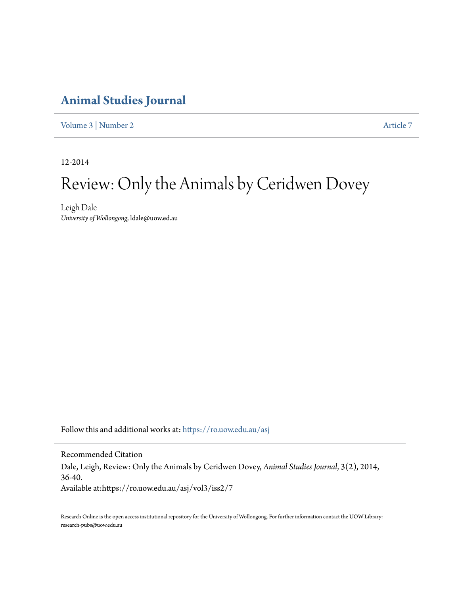### **[Animal Studies Journal](https://ro.uow.edu.au/asj?utm_source=ro.uow.edu.au%2Fasj%2Fvol3%2Fiss2%2F7&utm_medium=PDF&utm_campaign=PDFCoverPages)**

[Volume 3](https://ro.uow.edu.au/asj/vol3?utm_source=ro.uow.edu.au%2Fasj%2Fvol3%2Fiss2%2F7&utm_medium=PDF&utm_campaign=PDFCoverPages) | [Number 2](https://ro.uow.edu.au/asj/vol3/iss2?utm_source=ro.uow.edu.au%2Fasj%2Fvol3%2Fiss2%2F7&utm_medium=PDF&utm_campaign=PDFCoverPages) [Article 7](https://ro.uow.edu.au/asj/vol3/iss2/7?utm_source=ro.uow.edu.au%2Fasj%2Fvol3%2Fiss2%2F7&utm_medium=PDF&utm_campaign=PDFCoverPages)

12-2014

# Review: Only the Animals by Ceridwen Dovey

Leigh Dale *University of Wollongong*, ldale@uow.ed.au

Follow this and additional works at: [https://ro.uow.edu.au/asj](https://ro.uow.edu.au/asj?utm_source=ro.uow.edu.au%2Fasj%2Fvol3%2Fiss2%2F7&utm_medium=PDF&utm_campaign=PDFCoverPages)

Recommended Citation Dale, Leigh, Review: Only the Animals by Ceridwen Dovey, *Animal Studies Journal*, 3(2), 2014, 36-40. Available at:https://ro.uow.edu.au/asj/vol3/iss2/7

Research Online is the open access institutional repository for the University of Wollongong. For further information contact the UOW Library: research-pubs@uow.edu.au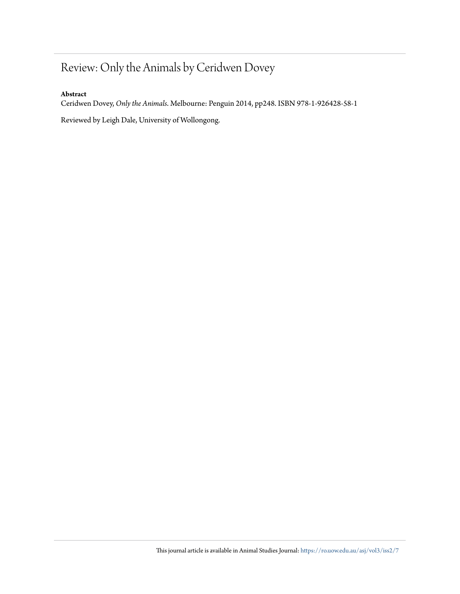## Review: Only the Animals by Ceridwen Dovey

#### **Abstract**

Ceridwen Dovey, *Only the Animals*. Melbourne: Penguin 2014, pp248. ISBN 978-1-926428-58-1

Reviewed by Leigh Dale, University of Wollongong.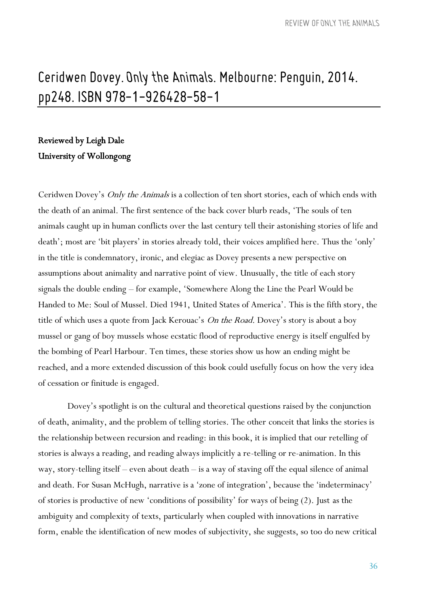## Ceridwen Dovey. Only the Animals. Melbourne: Penguin, 2014. pp248. ISBN 978-1-926428-58-1

### Reviewed by Leigh Dale University of Wollongong

Ceridwen Dovey's Only the Animals is a collection of ten short stories, each of which ends with the death of an animal. The first sentence of the back cover blurb reads, 'The souls of ten animals caught up in human conflicts over the last century tell their astonishing stories of life and death'; most are 'bit players' in stories already told, their voices amplified here. Thus the 'only' in the title is condemnatory, ironic, and elegiac as Dovey presents a new perspective on assumptions about animality and narrative point of view. Unusually, the title of each story signals the double ending – for example, 'Somewhere Along the Line the Pearl Would be Handed to Me: Soul of Mussel. Died 1941, United States of America'. This is the fifth story, the title of which uses a quote from Jack Kerouac's On the Road. Dovey's story is about a boy mussel or gang of boy mussels whose ecstatic flood of reproductive energy is itself engulfed by the bombing of Pearl Harbour. Ten times, these stories show us how an ending might be reached, and a more extended discussion of this book could usefully focus on how the very idea of cessation or finitude is engaged.

Dovey's spotlight is on the cultural and theoretical questions raised by the conjunction of death, animality, and the problem of telling stories. The other conceit that links the stories is the relationship between recursion and reading: in this book, it is implied that our retelling of stories is always a reading, and reading always implicitly a re-telling or re-animation. In this way, story-telling itself – even about death – is a way of staving off the equal silence of animal and death. For Susan McHugh, narrative is a 'zone of integration', because the 'indeterminacy' of stories is productive of new 'conditions of possibility' for ways of being (2). Just as the ambiguity and complexity of texts, particularly when coupled with innovations in narrative form, enable the identification of new modes of subjectivity, she suggests, so too do new critical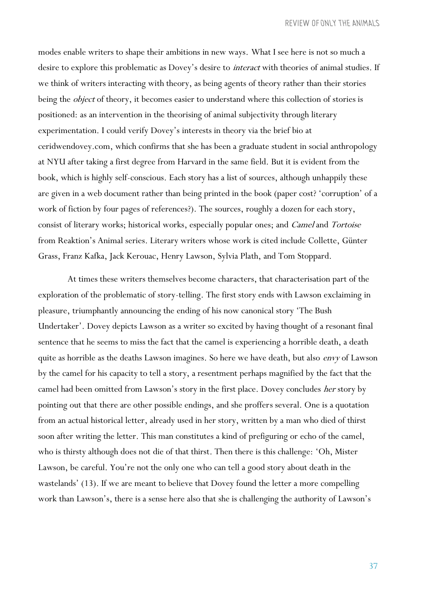modes enable writers to shape their ambitions in new ways. What I see here is not so much a desire to explore this problematic as Dovey's desire to interact with theories of animal studies. If we think of writers interacting with theory, as being agents of theory rather than their stories being the *object* of theory, it becomes easier to understand where this collection of stories is positioned: as an intervention in the theorising of animal subjectivity through literary experimentation. I could verify Dovey's interests in theory via the brief bio at ceridwendovey.com, which confirms that she has been a graduate student in social anthropology at NYU after taking a first degree from Harvard in the same field. But it is evident from the book, which is highly self-conscious. Each story has a list of sources, although unhappily these are given in a web document rather than being printed in the book (paper cost? 'corruption' of a work of fiction by four pages of references?). The sources, roughly a dozen for each story, consist of literary works; historical works, especially popular ones; and Camel and Tortoise from Reaktion's Animal series. Literary writers whose work is cited include Collette, Günter Grass, Franz Kafka, Jack Kerouac, Henry Lawson, Sylvia Plath, and Tom Stoppard.

At times these writers themselves become characters, that characterisation part of the exploration of the problematic of story-telling. The first story ends with Lawson exclaiming in pleasure, triumphantly announcing the ending of his now canonical story 'The Bush Undertaker'. Dovey depicts Lawson as a writer so excited by having thought of a resonant final sentence that he seems to miss the fact that the camel is experiencing a horrible death, a death quite as horrible as the deaths Lawson imagines. So here we have death, but also envy of Lawson by the camel for his capacity to tell a story, a resentment perhaps magnified by the fact that the camel had been omitted from Lawson's story in the first place. Dovey concludes her story by pointing out that there are other possible endings, and she proffers several. One is a quotation from an actual historical letter, already used in her story, written by a man who died of thirst soon after writing the letter. This man constitutes a kind of prefiguring or echo of the camel, who is thirsty although does not die of that thirst. Then there is this challenge: 'Oh, Mister Lawson, be careful. You're not the only one who can tell a good story about death in the wastelands' (13). If we are meant to believe that Dovey found the letter a more compelling work than Lawson's, there is a sense here also that she is challenging the authority of Lawson's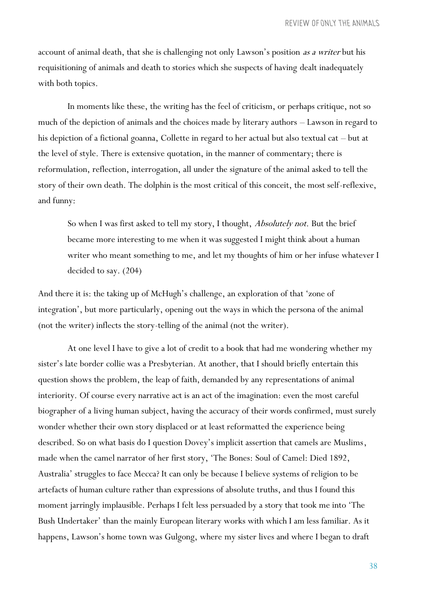account of animal death, that she is challenging not only Lawson's position as a writer but his requisitioning of animals and death to stories which she suspects of having dealt inadequately with both topics.

In moments like these, the writing has the feel of criticism, or perhaps critique, not so much of the depiction of animals and the choices made by literary authors – Lawson in regard to his depiction of a fictional goanna, Collette in regard to her actual but also textual cat – but at the level of style. There is extensive quotation, in the manner of commentary; there is reformulation, reflection, interrogation, all under the signature of the animal asked to tell the story of their own death. The dolphin is the most critical of this conceit, the most self-reflexive, and funny:

So when I was first asked to tell my story, I thought, *Absolutely not*. But the brief became more interesting to me when it was suggested I might think about a human writer who meant something to me, and let my thoughts of him or her infuse whatever I decided to say. (204)

And there it is: the taking up of McHugh's challenge, an exploration of that 'zone of integration', but more particularly, opening out the ways in which the persona of the animal (not the writer) inflects the story-telling of the animal (not the writer).

At one level I have to give a lot of credit to a book that had me wondering whether my sister's late border collie was a Presbyterian. At another, that I should briefly entertain this question shows the problem, the leap of faith, demanded by any representations of animal interiority. Of course every narrative act is an act of the imagination: even the most careful biographer of a living human subject, having the accuracy of their words confirmed, must surely wonder whether their own story displaced or at least reformatted the experience being described. So on what basis do I question Dovey's implicit assertion that camels are Muslims, made when the camel narrator of her first story, 'The Bones: Soul of Camel: Died 1892, Australia' struggles to face Mecca? It can only be because I believe systems of religion to be artefacts of human culture rather than expressions of absolute truths, and thus I found this moment jarringly implausible. Perhaps I felt less persuaded by a story that took me into 'The Bush Undertaker' than the mainly European literary works with which I am less familiar. As it happens, Lawson's home town was Gulgong, where my sister lives and where I began to draft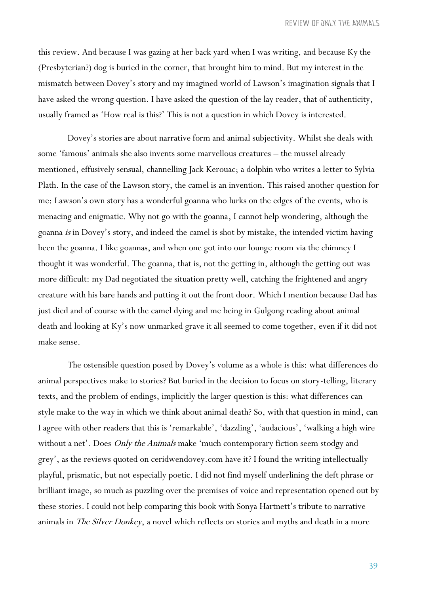this review. And because I was gazing at her back yard when I was writing, and because Ky the (Presbyterian?) dog is buried in the corner, that brought him to mind. But my interest in the mismatch between Dovey's story and my imagined world of Lawson's imagination signals that I have asked the wrong question. I have asked the question of the lay reader, that of authenticity, usually framed as 'How real is this?' This is not a question in which Dovey is interested.

Dovey's stories are about narrative form and animal subjectivity. Whilst she deals with some 'famous' animals she also invents some marvellous creatures – the mussel already mentioned, effusively sensual, channelling Jack Kerouac; a dolphin who writes a letter to Sylvia Plath. In the case of the Lawson story, the camel is an invention. This raised another question for me: Lawson's own story has a wonderful goanna who lurks on the edges of the events, who is menacing and enigmatic. Why not go with the goanna, I cannot help wondering, although the goanna is in Dovey's story, and indeed the camel is shot by mistake, the intended victim having been the goanna. I like goannas, and when one got into our lounge room via the chimney I thought it was wonderful. The goanna, that is, not the getting in, although the getting out was more difficult: my Dad negotiated the situation pretty well, catching the frightened and angry creature with his bare hands and putting it out the front door. Which I mention because Dad has just died and of course with the camel dying and me being in Gulgong reading about animal death and looking at Ky's now unmarked grave it all seemed to come together, even if it did not make sense.

The ostensible question posed by Dovey's volume as a whole is this: what differences do animal perspectives make to stories? But buried in the decision to focus on story-telling, literary texts, and the problem of endings, implicitly the larger question is this: what differences can style make to the way in which we think about animal death? So, with that question in mind, can I agree with other readers that this is 'remarkable', 'dazzling', 'audacious', 'walking a high wire without a net'. Does Only the Animals make 'much contemporary fiction seem stodgy and grey', as the reviews quoted on ceridwendovey.com have it? I found the writing intellectually playful, prismatic, but not especially poetic. I did not find myself underlining the deft phrase or brilliant image, so much as puzzling over the premises of voice and representation opened out by these stories. I could not help comparing this book with Sonya Hartnett's tribute to narrative animals in *The Silver Donkey*, a novel which reflects on stories and myths and death in a more